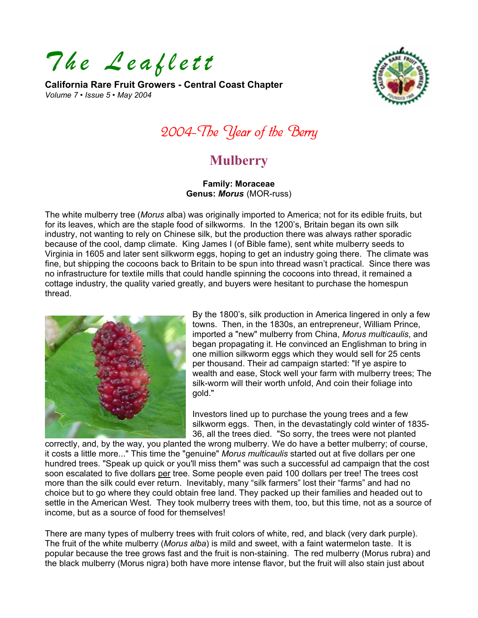*The Leaflett* 

**California Rare Fruit Growers - Central Coast Chapter**  *Volume 7 • Issue 5 • May 2004* 



2004-The Year of the Berry

# **Mulberry**

**Family: Moraceae Genus:** *Morus* (MOR-russ)

The white mulberry tree (*Morus* alba) was originally imported to America; not for its edible fruits, but for its leaves, which are the staple food of silkworms. In the 1200's, Britain began its own silk industry, not wanting to rely on Chinese silk, but the production there was always rather sporadic because of the cool, damp climate. King James I (of Bible fame), sent white mulberry seeds to Virginia in 1605 and later sent silkworm eggs, hoping to get an industry going there. The climate was fine, but shipping the cocoons back to Britain to be spun into thread wasn't practical. Since there was no infrastructure for textile mills that could handle spinning the cocoons into thread, it remained a cottage industry, the quality varied greatly, and buyers were hesitant to purchase the homespun thread.



By the 1800's, silk production in America lingered in only a few towns. Then, in the 1830s, an entrepreneur, William Prince, imported a "new" mulberry from China, *Morus multicaulis*, and began propagating it. He convinced an Englishman to bring in one million silkworm eggs which they would sell for 25 cents per thousand. Their ad campaign started: "If ye aspire to wealth and ease, Stock well your farm with mulberry trees; T he silk-worm will their worth unfold, And coin their foliage into gold."

Investors lined up to purchase the young trees and a few silkworm eggs. Then, in the devastatingly cold winter of 1835- 36, all the trees died. "So sorry, the trees were not planted

correctly, and, by the way, you planted the wrong mulberry. We do have a better mulberry; of course, it costs a little more..." This time the "genuine" *Morus multicaulis* started out at five dollars per one hundred trees. "Speak up quick or you'll miss them" was such a successful ad campaign that the cost soon escalated to five dollars per tree. Some people even paid 100 dollars per tree! The trees cost more than the silk could ever return. Inevitably, many "silk farmers" lost their "farms" and had no choice but to go where they could obtain free land. They packed up their families and headed out to settle in the American West. They took mulberry trees with them, too, but this time, not as a source of income, but as a source of food for themselves!

There are many types of mulberry trees with fruit colors of white, red, and black (very dark purple). The fruit of the white mulberry (*Morus alba*) is mild and sweet, with a faint watermelon taste. It is popular because the tree grows fast and the fruit is non-staining. The red mulberry (Morus rubra) and the black mulberry (Morus nigra) both have more intense flavor, but the fruit will also stain just about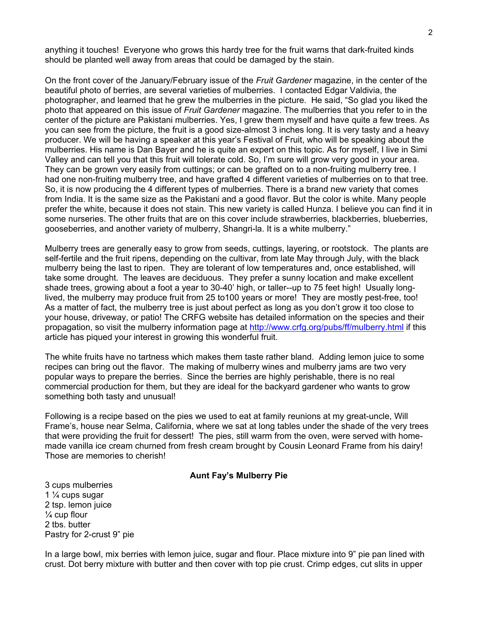anything it touches! Everyone who grows this hardy tree for the fruit warns that dark-fruited kinds should be planted well away from areas that could be damaged by the stain.

On the front cover of the January/February issue of the *Fruit Gardener* magazine, in the center of the beautiful photo of berries, are several varieties of mulberries. I contacted Edgar Valdivia, the photographer, and learned that he grew the mulberries in the picture. He said, "So glad you liked the photo that appeared on this issue of *Fruit Gardener* magazine. The mulberries that you refer to in the center of the picture are Pakistani mulberries. Yes, I grew them myself and have quite a few trees. As you can see from the picture, the fruit is a good size-almost 3 inches long. It is very tasty and a heavy producer. We will be having a speaker at this year's Festival of Fruit, who will be speaking about the mulberries. His name is Dan Bayer and he is quite an expert on this topic. As for myself, I live in Simi Valley and can tell you that this fruit will tolerate cold. So, I'm sure will grow very good in your area. They can be grown very easily from cuttings; or can be grafted on to a non-fruiting mulberry tree. I had one non-fruiting mulberry tree, and have grafted 4 different varieties of mulberries on to that tree. So, it is now producing the 4 different types of mulberries. There is a brand new variety that comes from India. It is the same size as the Pakistani and a good flavor. But the color is white. Many people prefer the white, because it does not stain. This new variety is called Hunza. I believe you can find it in some nurseries. The other fruits that are on this cover include strawberries, blackberries, blueberries, gooseberries, and another variety of mulberry, Shangri-la. It is a white mulberry."

Mulberry trees are generally easy to grow from seeds, cuttings, layering, or rootstock. The plants are self-fertile and the fruit ripens, depending on the cultivar, from late May through July, with the black mulberry being the last to ripen. They are tolerant of low temperatures and, once established, will take some drought. The leaves are deciduous. They prefer a sunny location and make excellent shade trees, growing about a foot a year to 30-40' high, or taller--up to 75 feet high! Usually longlived, the mulberry may produce fruit from 25 to100 years or more! They are mostly pest-free, too! As a matter of fact, the mulberry tree is just about perfect as long as you don't grow it too close to your house, driveway, or patio! The CRFG website has detailed information on the species and their propagation, so visit the mulberry information page at <http://www.crfg.org/pubs/ff/mulberry.html> if this article has piqued your interest in growing this wonderful fruit.

The white fruits have no tartness which makes them taste rather bland. Adding lemon juice to some recipes can bring out the flavor. The making of mulberry wines and mulberry jams are two very popular ways to prepare the berries. Since the berries are highly perishable, there is no real commercial production for them, but they are ideal for the backyard gardener who wants to grow something both tasty and unusual!

Following is a recipe based on the pies we used to eat at family reunions at my great-uncle, Will Frame's, house near Selma, California, where we sat at long tables under the shade of the very trees that were providing the fruit for dessert! The pies, still warm from the oven, were served with homemade vanilla ice cream churned from fresh cream brought by Cousin Leonard Frame from his dairy! Those are memories to cherish!

#### **Aunt Fay's Mulberry Pie**

3 cups mulberries 1 ¼ cups sugar 2 tsp. lemon juice ¼ cup flour 2 tbs. butter Pastry for 2-crust 9" pie

In a large bowl, mix berries with lemon juice, sugar and flour. Place mixture into 9" pie pan lined with crust. Dot berry mixture with butter and then cover with top pie crust. Crimp edges, cut slits in upper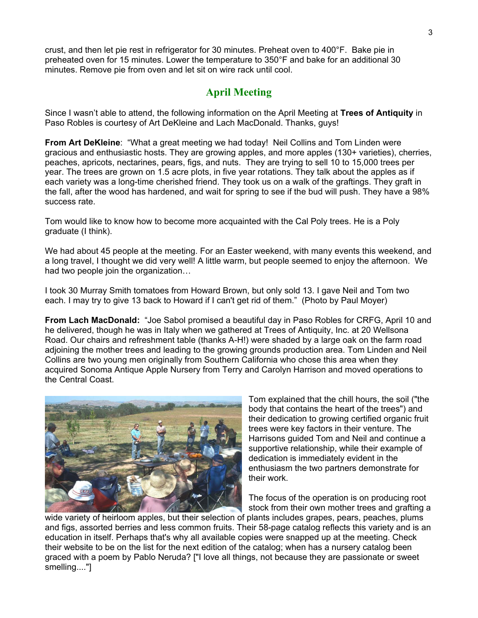crust, and then let pie rest in refrigerator for 30 minutes. Preheat oven to 400°F. Bake pie in preheated oven for 15 minutes. Lower the temperature to 350°F and bake for an additional 30 minutes. Remove pie from oven and let sit on wire rack until cool.

## **April Meeting**

Since I wasn't able to attend, the following information on the April Meeting at **Trees of Antiquity** in Paso Robles is courtesy of Art DeKleine and Lach MacDonald. Thanks, guys!

**From Art DeKleine**: "What a great meeting we had today! Neil Collins and Tom Linden were gracious and enthusiastic hosts. They are growing apples, and more apples (130+ varieties), cherries, peaches, apricots, nectarines, pears, figs, and nuts. They are trying to sell 10 to 15,000 trees per year. The trees are grown on 1.5 acre plots, in five year rotations. They talk about the apples as if each variety was a long-time cherished friend. They took us on a walk of the graftings. They graft in the fall, after the wood has hardened, and wait for spring to see if the bud will push. They have a 98% success rate.

Tom would like to know how to become more acquainted with the Cal Poly trees. He is a Poly graduate (I think).

We had about 45 people at the meeting. For an Easter weekend, with many events this weekend, and a long travel, I thought we did very well! A little warm, but people seemed to enjoy the afternoon. We had two people join the organization…

I took 30 Murray Smith tomatoes from Howard Brown, but only sold 13. I gave Neil and Tom two each. I may try to give 13 back to Howard if I can't get rid of them." (Photo by Paul Moyer)

**From Lach MacDonald:** "Joe Sabol promised a beautiful day in Paso Robles for CRFG, April 10 and he delivered, though he was in Italy when we gathered at Trees of Antiquity, Inc. at 20 Wellsona Road. Our chairs and refreshment table (thanks A-H!) were shaded by a large oak on the farm road adjoining the mother trees and leading to the growing grounds production area. Tom Linden and Neil Collins are two young men originally from Southern California who chose this area when they acquired Sonoma Antique Apple Nursery from Terry and Carolyn Harrison and moved operations to the Central Coast.



Tom explained that the chill hours, the soil ("the body that contains the heart of the trees") and their dedication to growing certified organic fruit trees were key factors in their venture. The Harrisons guided Tom and Neil and continue a supportive relationship, while their example of dedication is immediately evident in the enthusiasm the two partners demonstrate for their work.

The focus of the operation is on producing root stock from their own mother trees and grafting a

wide variety of heirloom apples, but their selection of plants includes grapes, pears, peaches, plums and figs, assorted berries and less common fruits. Their 58-page catalog reflects this variety and is an education in itself. Perhaps that's why all available copies were snapped up at the meeting. Check their website to be on the list for the next edition of the catalog; when has a nursery catalog been graced with a poem by Pablo Neruda? ["I love all things, not because they are passionate or sweet smelling...."]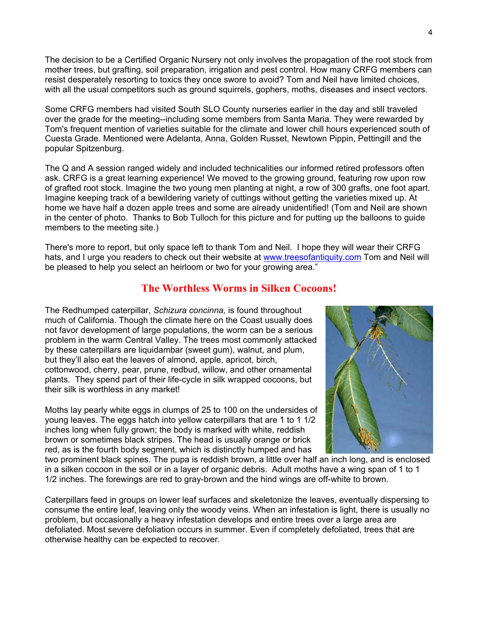The decision to be a Certified Organic Nursery not only involves the propagation of the root stock from mother trees, but grafting, soil preparation, irrigation and pest control. How many CRFG members can resist desperately resorting to toxics they once swore to avoid? Tom and Neil have limited choices, with all the usual competitors such as ground squirrels, gophers, moths, diseases and insect vectors.

Some CRFG members had visited South SLO County nurseries earlier in the day and still traveled over the grade for the meeting--including some members from Santa Maria. They were rewarded by Tom's frequent mention of varieties suitable for the climate and lower chill hours experienced south of Cuesta Grade. Mentioned were Adelanta, Anna, Golden Russet, Newtown Pippin, Pettingill and the popular Spitzenburg.

The Q and A session ranged widely and included technicalities our informed retired professors often ask. CRFG is a great learning experience! We moved to the growing ground, featuring row upon row of grafted root stock. Imagine the two young men planting at night, a row of 300 grafts, one foot apart. Imagine keeping track of a bewildering variety of cuttings without getting the varieties mixed up. At home we have half a dozen apple trees and some are already unidentified! (Tom and Neil are shown in the center of photo. Thanks to Bob Tulloch for this picture and for putting up the balloons to guide members to the meeting site.)

There's more to report, but only space left to thank Tom and Neil. I hope they will wear their CRFG hats, and I urge you readers to check out their website at [www.treesofantiquity.com](www.treesofantiquity.com ) Tom and Neil will be pleased to help you select an heirloom or two for your growing area."

## **The Worthless Worms in Silken Cocoons!**

The Redhumped caterpillar, *Schizura concinna,* is found throughout much of California. Though the climate here on the Coast usually does not favor development of large populations, the worm can be a serious problem in the warm Central Valley. The trees most commonly attacked by these caterpillars are liquidambar (sweet gum), walnut, and plum, but they'll also eat the leaves of almond, apple, apricot, birch, cottonwood, cherry, pear, prune, redbud, willow, and other ornamental plants. They spend part of their life-cycle in silk wrapped cocoons, but their silk is worthless in any market!

Moths lay pearly white eggs in clumps of 25 to 100 on the undersides of young leaves. The eggs hatch into yellow caterpillars that are 1 to 1 1/2 inches long when fully grown; the body is marked with white, redd ish brown or sometimes black stripes. The head is usually orange or brick red, as is the fourth body segment, which is distinctly humped and has



two prominent black spines. The pupa is reddish brown, a little over half an inch long, and is enclosed in a silken cocoon in the soil or in a layer of organic debris. Adult moths have a wing span of 1 to 1 1/2 inches. The forewings are red to gray-brown and the hind wings are off-white to brown.

Caterpillars feed in groups on lower leaf surfaces and skeletonize the leaves, eventually dispersing to consume the entire leaf, leaving only the woody veins. When an infestation is light, there is usually no problem, but occasionally a heavy infestation develops and entire trees over a large area are defoliated. Most severe defoliation occurs in summer. Even if completely defoliated, trees that are otherwise healthy can be expected to recover.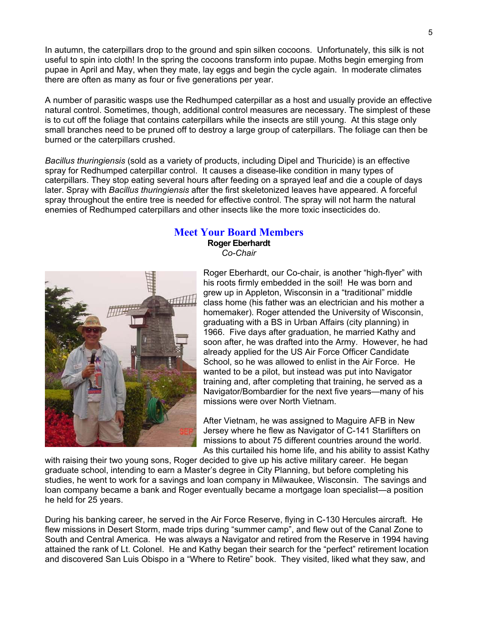In autumn, the caterpillars drop to the ground and spin silken cocoons. Unfortunately, this silk is not useful to spin into cloth! In the spring the cocoons transform into pupae. Moths begin emerging from pupae in April and May, when they mate, lay eggs and begin the cycle again. In moderate climates there are often as many as four or five generations per year.

A number of parasitic wasps use the Redhumped caterpillar as a host and usually provide an effective natural control. Sometimes, though, additional control measures are necessary. The simplest of these is to cut off the foliage that contains caterpillars while the insects are still young. At this stage only small branches need to be pruned off to destroy a large group of caterpillars. The foliage can then be burned or the caterpillars crushed.

*Bacillus thuringiensis* (sold as a variety of products, including Dipel and Thuricide) is an effective spray for Redhumped caterpillar control. It causes a disease-like condition in many types of caterpillars. They stop eating several hours after feeding on a sprayed leaf and die a couple of days later. Spray with *Bacillus thuringiensis* after the first skeletonized leaves have appeared. A forceful spray throughout the entire tree is needed for effective control. The spray will not harm the natural enemies of Redhumped caterpillars and other insects like the more toxic insecticides do.

### **Meet Your Board Members**

**Roger Eberhardt**  *Co-Chair* 



Roger Eberhardt, our Co-chair, is another "high-flyer" with his roots firmly embedded in the soil! He was born and grew up in Appleton, Wisconsin in a "traditional" middle class home (his father was an electrician and his mother a homemaker). Roger attended the University of Wisconsin, graduating with a BS in Urban Affairs (city planning) in 1966. Five days after graduation, he married Kathy and soon after, he was drafted into the Army. However, he had already applied for the US Air Force Officer Candidate School, so he was allowed to enlist in the Air Force. He wanted to be a pilot, but instead was put into Navigator training and, after completing that training, he served as a Navigator/Bombardier for the next five years—many of his missions were over North Vietnam.

After Vietnam, he was assigned to Maguire AFB in New Jersey where he flew as Navigator of C-141 Starlifters on missions to about 75 different countries around the world. As this curtailed his home life, and his ability to assist Kathy

with raising their two young sons, Roger decided to give up his active military career. He began graduate school, intending to earn a Master's degree in City Planning, but before completing his studies, he went to work for a savings and loan company in Milwaukee, Wisconsin. The savings and loan company became a bank and Roger eventually became a mortgage loan specialist—a position he held for 25 years.

During his banking career, he served in the Air Force Reserve, flying in C-130 Hercules aircraft. He flew missions in Desert Storm, made trips during "summer camp", and flew out of the Canal Zone to South and Central America. He was always a Navigator and retired from the Reserve in 1994 having attained the rank of Lt. Colonel. He and Kathy began their search for the "perfect" retirement location and discovered San Luis Obispo in a "Where to Retire" book. They visited, liked what they saw, and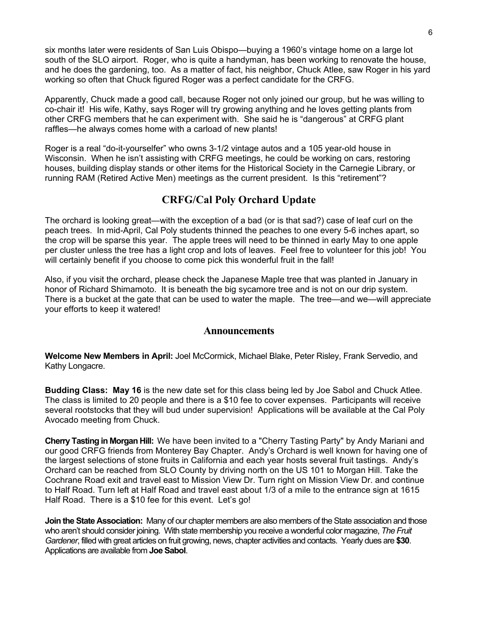six months later were residents of San Luis Obispo—buying a 1960's vintage home on a large lot south of the SLO airport. Roger, who is quite a handyman, has been working to renovate the house, and he does the gardening, too. As a matter of fact, his neighbor, Chuck Atlee, saw Roger in his yard working so often that Chuck figured Roger was a perfect candidate for the CRFG.

Apparently, Chuck made a good call, because Roger not only joined our group, but he was willing to co-chair it! His wife, Kathy, says Roger will try growing anything and he loves getting plants from other CRFG members that he can experiment with. She said he is "dangerous" at CRFG plant raffles—he always comes home with a carload of new plants!

Roger is a real "do-it-yourselfer" who owns 3-1/2 vintage autos and a 105 year-old house in Wisconsin. When he isn't assisting with CRFG meetings, he could be working on cars, restoring houses, building display stands or other items for the Historical Society in the Carnegie Library, or running RAM (Retired Active Men) meetings as the current president. Is this "retirement"?

## **CRFG/Cal Poly Orchard Update**

The orchard is looking great—with the exception of a bad (or is that sad?) case of leaf curl on the peach trees. In mid-April, Cal Poly students thinned the peaches to one every 5-6 inches apart, so the crop will be sparse this year. The apple trees will need to be thinned in early May to one apple per cluster unless the tree has a light crop and lots of leaves. Feel free to volunteer for this job! You will certainly benefit if you choose to come pick this wonderful fruit in the fall!

Also, if you visit the orchard, please check the Japanese Maple tree that was planted in January in honor of Richard Shimamoto. It is beneath the big sycamore tree and is not on our drip system. There is a bucket at the gate that can be used to water the maple. The tree—and we—will appreciate your efforts to keep it watered!

#### **Announcements**

**Welcome New Members in April:** Joel McCormick, Michael Blake, Peter Risley, Frank Servedio, and Kathy Longacre.

**Budding Class: May 16** is the new date set for this class being led by Joe Sabol and Chuck Atlee. The class is limited to 20 people and there is a \$10 fee to cover expenses. Participants will receive several rootstocks that they will bud under supervision! Applications will be available at the Cal Poly Avocado meeting from Chuck.

**Cherry Tasting in Morgan Hill:** We have been invited to a "Cherry Tasting Party" by Andy Mariani and our good CRFG friends from Monterey Bay Chapter. Andy's Orchard is well known for having one of the largest selections of stone fruits in California and each year hosts several fruit tastings. Andy's Orchard can be reached from SLO County by driving north on the US 101 to Morgan Hill. Take the Cochrane Road exit and travel east to Mission View Dr. Turn right on Mission View Dr. and continue to Half Road. Turn left at Half Road and travel east about 1/3 of a mile to the entrance sign at 1615 Half Road. There is a \$10 fee for this event. Let's go!

**Join the State Association:** Many of our chapter members are also members of the State association and those who aren't should consider joining. With state membership you receive a wonderful color magazine, *The Fruit Gardener*, filled with great articles on fruit growing, news, chapter activities and contacts. Yearly dues are **\$30**. Applications are available from **Joe Sabol**.